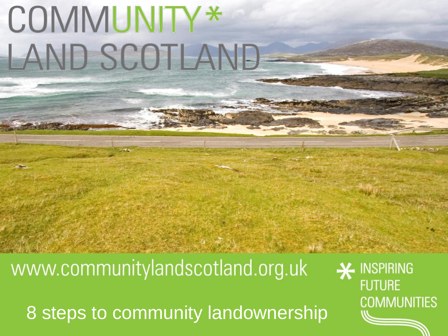www.communitylandscotland.org.uk

8 steps to community landownership

**INSPIRING FUTURE COMMUNITIES**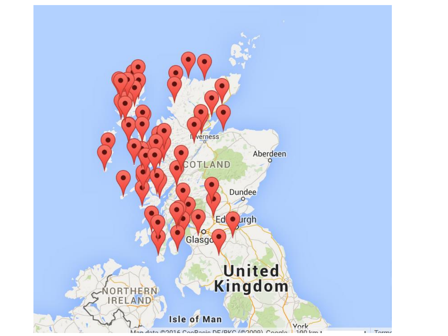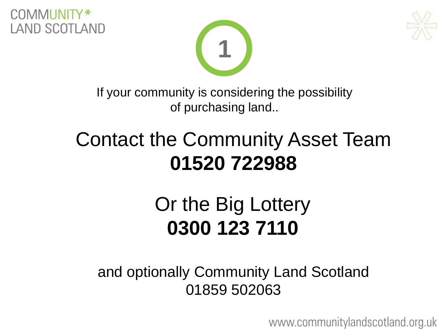



If your community is considering the possibility of purchasing land..

## Contact the Community Asset Team **01520 722988**

# Or the Big Lottery **0300 123 7110**

### and optionally Community Land Scotland 01859 502063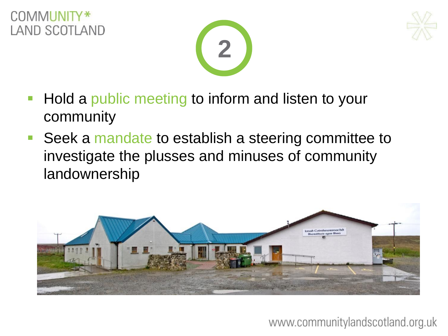



- Hold a public meeting to inform and listen to your community
- Seek a mandate to establish a steering committee to investigate the plusses and minuses of community landownership

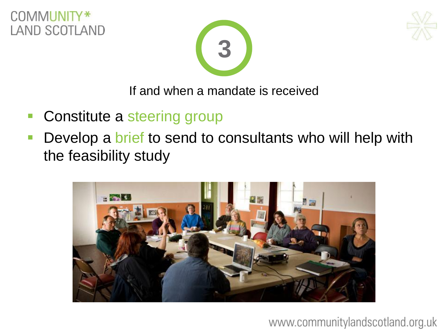



If and when a mandate is received

- **Constitute a steering group**
- Develop a brief to send to consultants who will help with the feasibility study

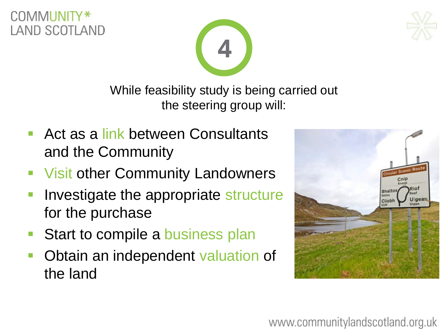



While feasibility study is being carried out the steering group will:

- Act as a link between Consultants and the Community
- **Visit other Community Landowners**
- Investigate the appropriate structure for the purchase
- Start to compile a business plan
- **Dianuman independent valuation of** the land

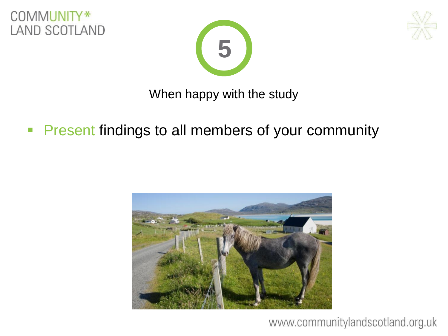





#### When happy with the study

### **Present findings to all members of your community**

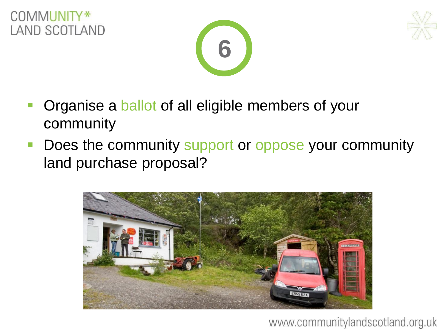



- Organise a ballot of all eligible members of your community
- Does the community support or oppose your community land purchase proposal?

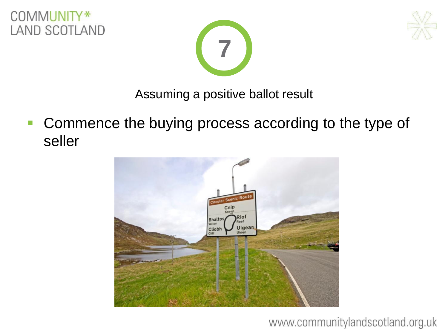





Assuming a positive ballot result

■ Commence the buying process according to the type of seller